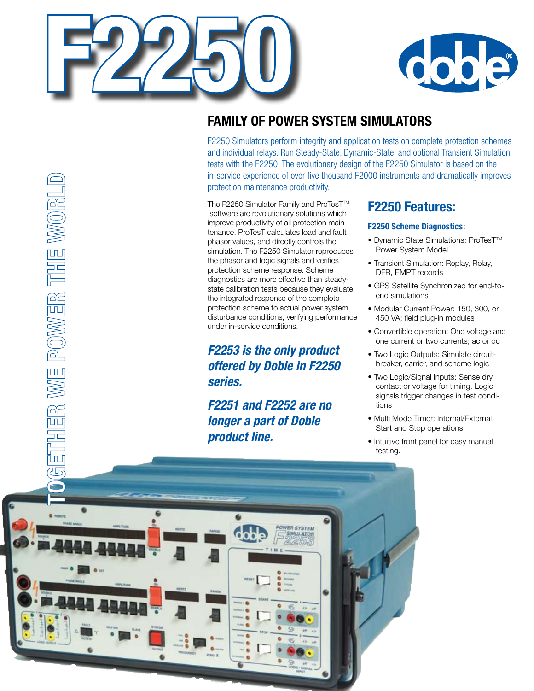

THER WE POWER THE WORL



# **Family of Power System Simulators**

F2250 Simulators perform integrity and application tests on complete protection schemes and individual relays. Run Steady-State, Dynamic-State, and optional Transient Simulation tests with the F2250. The evolutionary design of the F2250 Simulator is based on the in-service experience of over five thousand F2000 instruments and dramatically improves protection maintenance productivity.

The F2250 Simulator Family and ProTesT™ software are revolutionary solutions which improve productivity of all protection maintenance. ProTesT calculates load and fault phasor values, and directly controls the simulation. The F2250 Simulator reproduces the phasor and logic signals and verifies protection scheme response. Scheme diagnostics are more effective than steadystate calibration tests because they evaluate the integrated response of the complete protection scheme to actual power system disturbance conditions, verifying performance under in-service conditions.

### *F2253 is the only product offered by Doble in F2250 series.*

### *F2251 and F2252 are no longer a part of Doble product line.*

### **F2250 Features:**

#### **F2250 Scheme Diagnostics:**

- Dynamic State Simulations: ProTesT™ Power System Model
- Transient Simulation: Replay, Relay, DFR, EMPT records
- GPS Satellite Synchronized for end-toend simulations
- Modular Current Power: 150, 300, or 450 VA; field plug-in modules
- Convertible operation: One voltage and one current or two currents; ac or dc
- Two Logic Outputs: Simulate circuitbreaker, carrier, and scheme logic
- Two Logic/Signal Inputs: Sense dry contact or voltage for timing. Logic signals trigger changes in test conditions
- Multi Mode Timer: Internal/External Start and Stop operations
- Intuitive front panel for easy manual testing.

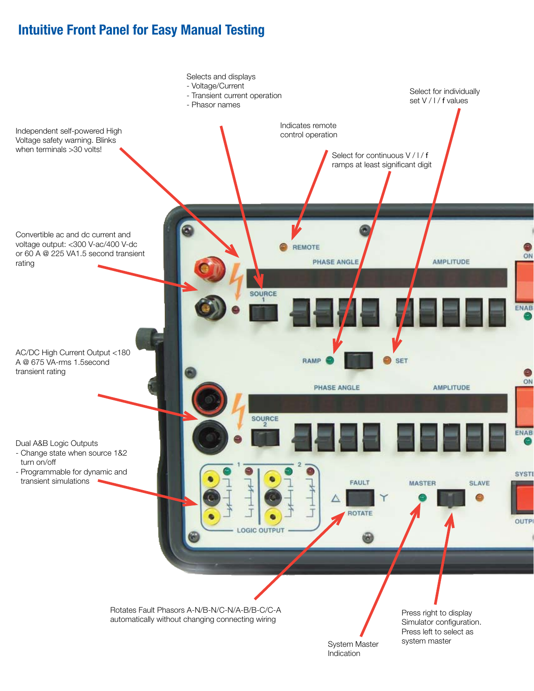## **Intuitive Front Panel for Easy Manual Testing**

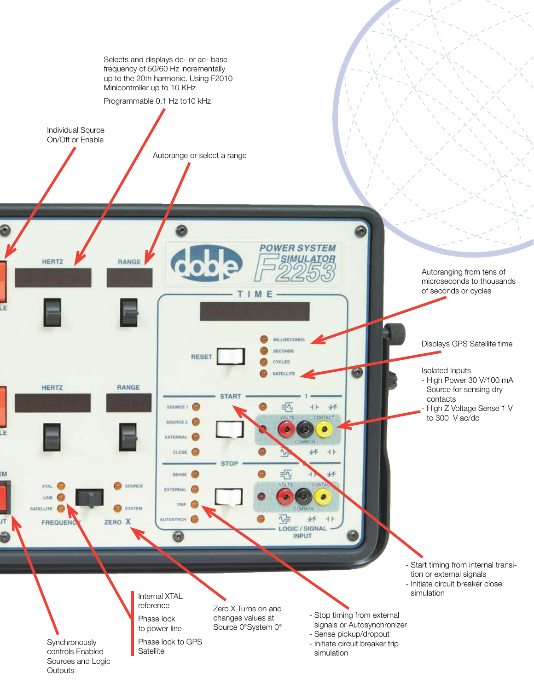